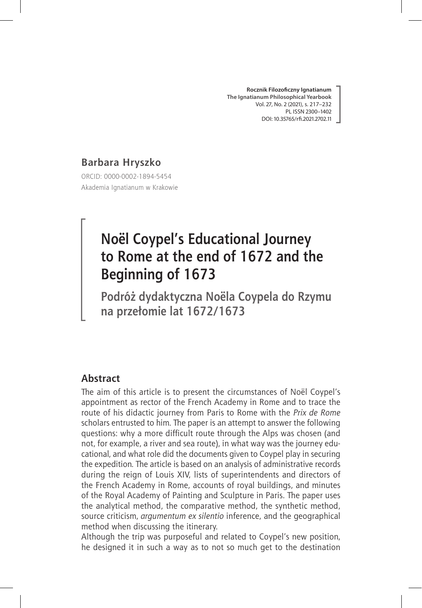**Rocznik Filozoficzny Ignatianum The Ignatianum Philosophical Yearbook** Vol. 27, No. 2 (2021), s. 217–232 PL ISSN 2300–1402 DOI: 10.35765/rfi.2021.2702.11

# **Barbara Hryszko**

ORCID: 0000-0002-1894-5454 Akademia Ignatianum w Krakowie

# **Noël Coypel's Educational Journey to Rome at the end of 1672 and the Beginning of 1673**

**Podróż dydaktyczna Noëla Coypela do Rzymu na przełomie lat 1672/1673**

# **Abstract**

The aim of this article is to present the circumstances of Noël Coypel's appointment as rector of the French Academy in Rome and to trace the route of his didactic journey from Paris to Rome with the *Prix de Rome* scholars entrusted to him. The paper is an attempt to answer the following questions: why a more difficult route through the Alps was chosen (and not, for example, a river and sea route), in what way was the journey educational, and what role did the documents given to Coypel play in securing the expedition. The article is based on an analysis of administrative records during the reign of Louis XIV, lists of superintendents and directors of the French Academy in Rome, accounts of royal buildings, and minutes of the Royal Academy of Painting and Sculpture in Paris. The paper uses the analytical method, the comparative method, the synthetic method, source criticism, *argumentum ex silentio* inference, and the geographical method when discussing the itinerary.

Although the trip was purposeful and related to Coypel's new position, he designed it in such a way as to not so much get to the destination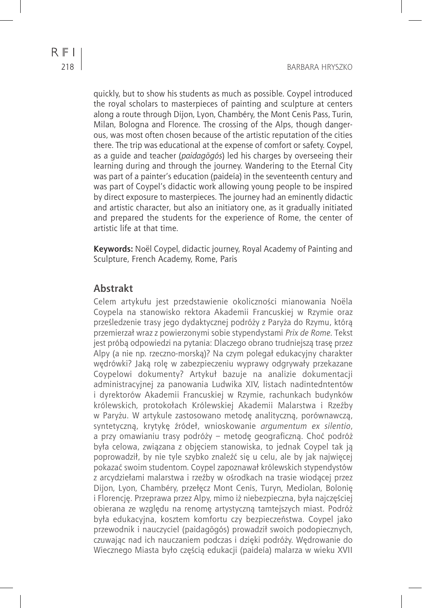quickly, but to show his students as much as possible. Coypel introduced the royal scholars to masterpieces of painting and sculpture at centers along a route through Dijon, Lyon, Chambéry, the Mont Cenis Pass, Turin, Milan, Bologna and Florence. The crossing of the Alps, though dangerous, was most often chosen because of the artistic reputation of the cities there. The trip was educational at the expense of comfort or safety. Coypel, as a guide and teacher (*paidagōgós*) led his charges by overseeing their learning during and through the journey. Wandering to the Eternal City was part of a painter's education (paideía) in the seventeenth century and was part of Coypel's didactic work allowing young people to be inspired by direct exposure to masterpieces. The journey had an eminently didactic and artistic character, but also an initiatory one, as it gradually initiated and prepared the students for the experience of Rome, the center of artistic life at that time.

**Keywords:** Noël Coypel, didactic journey, Royal Academy of Painting and Sculpture, French Academy, Rome, Paris

### **Abstrakt**

Celem artykułu jest przedstawienie okoliczności mianowania Noëla Coypela na stanowisko rektora Akademii Francuskiej w Rzymie oraz prześledzenie trasy jego dydaktycznej podróży z Paryża do Rzymu, którą przemierzał wraz z powierzonymi sobie stypendystami *Prix de Rome*. Tekst jest próbą odpowiedzi na pytania: Dlaczego obrano trudniejszą trasę przez Alpy (a nie np. rzeczno-morską)? Na czym polegał edukacyjny charakter wędrówki? Jaką rolę w zabezpieczeniu wyprawy odgrywały przekazane Coypelowi dokumenty? Artykuł bazuje na analizie dokumentacji administracyjnej za panowania Ludwika XIV, listach nadintedntentów i dyrektorów Akademii Francuskiej w Rzymie, rachunkach budynków królewskich, protokołach Królewskiej Akademii Malarstwa i Rzeźby w Paryżu. W artykule zastosowano metodę analityczną, porównawczą, syntetyczną, krytykę źródeł, wnioskowanie *argumentum ex silentio*, a przy omawianiu trasy podróży – metodę geograficzną. Choć podróż była celowa, związana z objęciem stanowiska, to jednak Coypel tak ją poprowadził, by nie tyle szybko znaleźć się u celu, ale by jak najwięcej pokazać swoim studentom. Coypel zapoznawał królewskich stypendystów z arcydziełami malarstwa i rzeźby w ośrodkach na trasie wiodącej przez Dijon, Lyon, Chambéry, przełęcz Mont Cenis, Turyn, Mediolan, Bolonię i Florencję. Przeprawa przez Alpy, mimo iż niebezpieczna, była najczęściej obierana ze względu na renomę artystyczną tamtejszych miast. Podróż była edukacyjna, kosztem komfortu czy bezpieczeństwa. Coypel jako przewodnik i nauczyciel (paidagōgós) prowadził swoich podopiecznych, czuwając nad ich nauczaniem podczas i dzięki podróży. Wędrowanie do Wiecznego Miasta było częścią edukacji (paideía) malarza w wieku XVII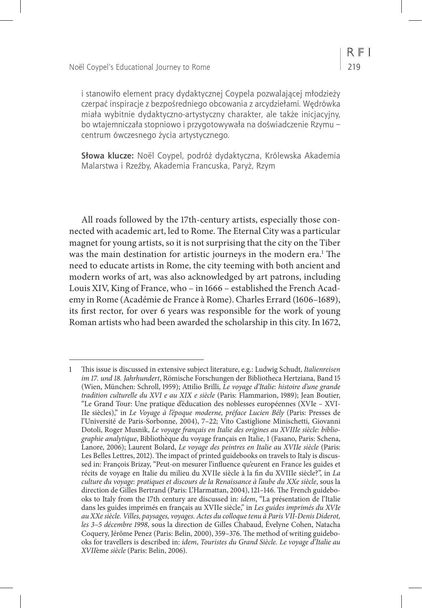i stanowiło element pracy dydaktycznej Coypela pozwalającej młodzieży czerpać inspiracje z bezpośredniego obcowania z arcydziełami. Wędrówka miała wybitnie dydaktyczno-artystyczny charakter, ale także inicjacyjny, bo wtajemniczała stopniowo i przygotowywała na doświadczenie Rzymu – centrum ówczesnego życia artystycznego.

**Słowa klucze:** Noël Coypel, podróż dydaktyczna, Królewska Akademia Malarstwa i Rzeźby, Akademia Francuska, Paryż, Rzym

All roads followed by the 17th-century artists, especially those connected with academic art, led to Rome. The Eternal City was a particular magnet for young artists, so it is not surprising that the city on the Tiber was the main destination for artistic journeys in the modern era.1 The need to educate artists in Rome, the city teeming with both ancient and modern works of art, was also acknowledged by art patrons, including Louis XIV, King of France, who – in 1666 – established the French Academy in Rome (Académie de France à Rome). Charles Errard (1606–1689), its first rector, for over 6 years was responsible for the work of young Roman artists who had been awarded the scholarship in this city. In 1672,

<sup>1</sup> This issue is discussed in extensive subject literature, e.g.: Ludwig Schudt, *Italienreisen im 17. und 18. Jahrhundert*, Römische Forschungen der Bibliotheca Hertziana, Band 15 (Wien, München: Schroll, 1959); Attilio Brilli, *Le voyage d'Italie: histoire d'une grande tradition culturelle du XVI e au XIX e siècle* (Paris: Flammarion, 1989); Jean Boutier, "Le Grand Tour: Une pratique d'éducation des noblesses européennes (XVIe – XVI-IIe siècles)," in *Le Voyage à l'époque moderne, préface Lucien Bély* (Paris: Presses de l'Université de Paris-Sorbonne, 2004), 7–22; Vito Castiglione Minischetti, Giovanni Dotoli, Roger Musnik, *Le voyage français en Italie des origines au XVIIIe siècle: bibliographie analytique*, Bibliothèque du voyage français en Italie, 1 (Fasano, Paris: Schena, Lanore, 2006); Laurent Bolard, *Le voyage des peintres en Italie au XVIIe siècle* (Paris: Les Belles Lettres, 2012). The impact of printed guidebooks on travels to Italy is discussed in: François Brizay, "Peut-on mesurer l'influence qu'eurent en France les guides et récits de voyage en Italie du milieu du XVIIe siècle à la fin du XVIIIe siècle?", in *La culture du voyage: pratiques et discours de la Renaissance à l'aube du XXe siècle*, sous la direction de Gilles Bertrand (Paris: L'Harmattan, 2004), 121–146. The French guidebooks to Italy from the 17th century are discussed in: *idem*, "La présentation de l'Italie dans les guides imprimés en français au XVIIe siècle," in *Les guides imprimés du XVIe au XXe siècle. Villes, paysages, voyages. Actes du colloque tenu à Paris VII-Denis Diderot, les 3–5 décembre 1998*, sous la direction de Gilles Chabaud, Évelyne Cohen, Natacha Coquery, Jérôme Penez (Paris: Belin, 2000), 359–376. The method of writing guidebooks for travellers is described in: *idem*, *Touristes du Grand Siècle. Le voyage d'Italie au XVII*ème *siècle* (Paris: Belin, 2006).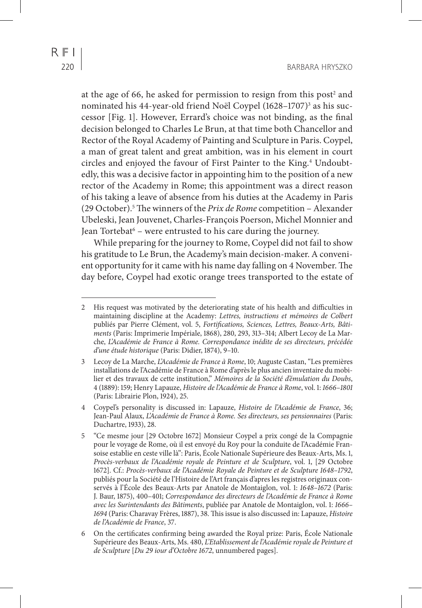at the age of 66, he asked for permission to resign from this post<sup>2</sup> and nominated his 44-year-old friend Noël Coypel (1628–1707)<sup>3</sup> as his successor [Fig. 1]. However, Errard's choice was not binding, as the final decision belonged to Charles Le Brun, at that time both Chancellor and Rector of the Royal Academy of Painting and Sculpture in Paris. Coypel, a man of great talent and great ambition, was in his element in court circles and enjoyed the favour of First Painter to the King.<sup>4</sup> Undoubtedly, this was a decisive factor in appointing him to the position of a new rector of the Academy in Rome; this appointment was a direct reason of his taking a leave of absence from his duties at the Academy in Paris (29 October).5 The winners of the *Prix de Rome* competition – Alexander Ubeleski, Jean Jouvenet, Charles-François Poerson, Michel Monnier and Jean Tortebat<sup>6</sup> – were entrusted to his care during the journey.

While preparing for the journey to Rome, Coypel did not fail to show his gratitude to Le Brun, the Academy's main decision-maker. A convenient opportunity for it came with his name day falling on 4 November. The day before, Coypel had exotic orange trees transported to the estate of

<sup>2</sup> His request was motivated by the deteriorating state of his health and difficulties in maintaining discipline at the Academy: *Lettres, instructions et mémoires de Colbert* publiés par Pierre Clément, vol. 5, *Fortifications, Sciences, Lettres, Beaux-Arts, Bâtiments* (Paris: Imprimerie Impériale, 1868), 280, 293, 313–314; Albert Lecoy de La Marche, *L'Académie de France à Rome. Correspondance inédite de ses directeurs, précédée d'une étude historique* (Paris: Didier, 1874), 9–10.

<sup>3</sup> Lecoy de La Marche, *L'Académie de France à Rome*, 10; Auguste Castan, "Les premières installations de l'Académie de France à Rome d'après le plus ancien inventaire du mobilier et des travaux de cette institution," *Mémoires de la Société d'émulation du Doubs*, 4 (1889): 159; Henry Lapauze, *Histoire de l'Académie de France à Rome*, vol. 1: *1666–1801* (Paris: Librairie Plon, 1924), 25.

<sup>4</sup> Coypel's personality is discussed in: Lapauze, *Histoire de l'Académie de France*, 36; Jean-Paul Alaux, *L'Académie de France à Rome. Ses directeurs, ses pensionnaires* (Paris: Duchartre, 1933), 28.

<sup>5</sup> "Ce mesme jour [29 Octobre 1672] Monsieur Coypel a prix congé de la Compagnie pour le voyage de Rome, où il est envoyé du Roy pour la conduite de l'Académie Fransoise establie en ceste ville là": Paris, École Nationale Supérieure des Beaux-Arts, Ms. 1, *Procès-verbaux de l'Académie royale de Peinture et de Sculpture*, vol. 1, [29 Octobre 1672]. Cf.: *Procès-verbaux de l'Académie Royale de Peinture et de Sculpture 1648–1792*, publiés pour la Société de l'Histoire de l'Art français d'apres les registres originaux conservés à l'École des Beaux-Arts par Anatole de Montaiglon, vol. 1: *1648–1672* (Paris: J. Baur, 1875), 400–401; *Correspondance des directeurs de l'Académie de France à Rome avec les Surintendants des Bâtiments*, publiée par Anatole de Montaiglon, vol. 1: *1666– 1694* (Paris: Charavay Frères, 1887), 38. This issue is also discussed in: Lapauze, *Histoire de l'Académie de France*, 37.

<sup>6</sup> On the certificates confirming being awarded the Royal prize: Paris, École Nationale Supérieure des Beaux-Arts, Ms. 480, *L'Etablissement de l'Académie royale de Peinture et de Sculpture* [*Du 29 iour d'Octobre 1672*, unnumbered pages].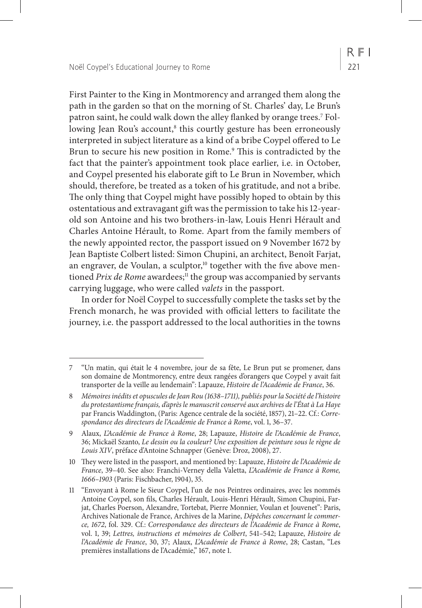First Painter to the King in Montmorency and arranged them along the path in the garden so that on the morning of St. Charles' day, Le Brun's patron saint, he could walk down the alley flanked by orange trees.7 Following Jean Rou's account, $^{\text{\tiny{8}}}$  this courtly gesture has been erroneously interpreted in subject literature as a kind of a bribe Coypel offered to Le Brun to secure his new position in Rome.<sup>9</sup> This is contradicted by the fact that the painter's appointment took place earlier, i.e. in October, and Coypel presented his elaborate gift to Le Brun in November, which should, therefore, be treated as a token of his gratitude, and not a bribe. The only thing that Coypel might have possibly hoped to obtain by this ostentatious and extravagant gift was the permission to take his 12-yearold son Antoine and his two brothers-in-law, Louis Henri Hérault and Charles Antoine Hérault, to Rome. Apart from the family members of the newly appointed rector, the passport issued on 9 November 1672 by Jean Baptiste Colbert listed: Simon Chupini, an architect, Benoît Farjat, an engraver, de Voulan, a sculptor,<sup>10</sup> together with the five above mentioned Prix de Rome awardees;<sup>11</sup> the group was accompanied by servants carrying luggage, who were called *valets* in the passport.

In order for Noël Coypel to successfully complete the tasks set by the French monarch, he was provided with official letters to facilitate the journey, i.e. the passport addressed to the local authorities in the towns

<sup>7</sup> "Un matin, qui était le 4 novembre, jour de sa fête, Le Brun put se promener, dans son domaine de Montmorency, entre deux rangées d'orangers que Coypel y avait fait transporter de la veille au lendemain": Lapauze, *Histoire de l'Académie de France*, 36.

<sup>8</sup> *Mémoires inédits et opuscules de Jean Rou (1638*–*1711), publiés pour la Société de l'histoire du protestantisme français, d'après le manuscrit conservé aux archives de l'État à La Haye* par Francis Waddington, (Paris: Agence centrale de la société, 1857), 21–22. Cf.: *Correspondance des directeurs de l'Académie de France à Rome*, vol. 1, 36–37.

<sup>9</sup> Alaux, *L'Académie de France à Rome*, 28; Lapauze, *Histoire de l'Académie de France*, 36; Mickaël Szanto, *Le dessin ou la couleur? Une exposition de peinture sous le règne de Louis XIV*, préface d'Antoine Schnapper (Genève: Droz, 2008), 27.

<sup>10</sup> They were listed in the passport, and mentioned by: Lapauze, *Histoire de l'Académie de France*, 39–40. See also: Franchi-Verney della Valetta, *L'Académie de France à Rome, 1666–1903* (Paris: Fischbacher, 1904), 35.

<sup>11</sup> "Envoyant à Rome le Sieur Coypel, l'un de nos Peintres ordinaires, avec les nommés Antoine Coypel, son fils, Charles Hérault, Louis-Henri Hérault, Simon Chupini, Farjat, Charles Poerson, Alexandre, Tortebat, Pierre Monnier, Voulan et Jouvenet": Paris, Archives Nationale de France, Archives de la Marine, *Dépêches concernant le commerce, 1672*, fol. 329. Cf.: *Correspondance des directeurs de l'Académie de France à Rome*, vol. 1, 39; *Lettres, instructions et mémoires de Colbert*, 541–542; Lapauze, *Histoire de l'Académie de France*, 30, 37; Alaux, *L'Académie de France à Rome*, 28; Castan, "Les premières installations de l'Académie," 167, note 1.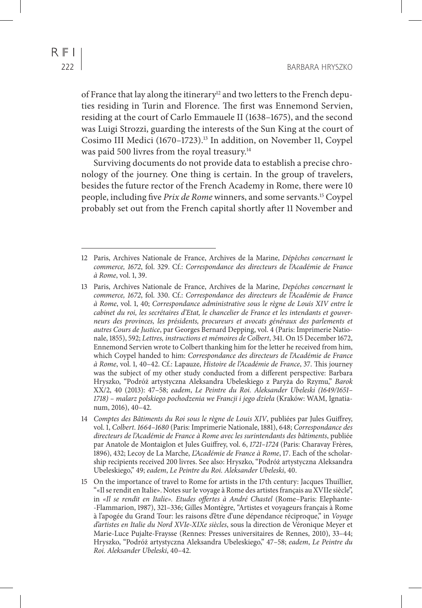of France that lay along the itinerary<sup>12</sup> and two letters to the French deputies residing in Turin and Florence. The first was Ennemond Servien, residing at the court of Carlo Emmauele II (1638–1675), and the second was Luigi Strozzi, guarding the interests of the Sun King at the court of Cosimo III Medici (1670–1723).13 In addition, on November 11, Coypel was paid 500 livres from the royal treasury.<sup>14</sup>

Surviving documents do not provide data to establish a precise chronology of the journey. One thing is certain. In the group of travelers, besides the future rector of the French Academy in Rome, there were 10 people, including five *Prix de Rome* winners, and some servants.15 Coypel probably set out from the French capital shortly after 11 November and

<sup>12</sup> Paris, Archives Nationale de France, Archives de la Marine, *Dépêches concernant le commerce, 1672*, fol. 329. Cf.: *Correspondance des directeurs de l'Académie de France à Rome*, vol. 1, 39.

<sup>13</sup> Paris, Archives Nationale de France, Archives de la Marine, *Depéches concernant le commerce, 1672*, fol. 330. Cf.: *Correspondance des directeurs de l'Académie de France à Rome*, vol. 1, 40; *Correspondance administrative sous le règne de Louis XIV entre le cabinet du roi, les secrétaires d'Etat, le chancelier de France et les intendants et gouverneurs des provinces, les présidents, procureurs et avocats généraux des parlements et autres Cours de Justice*, par Georges Bernard Depping, vol. 4 (Paris: Imprimerie Nationale, 1855), 592; *Lettres, instructions et mémoires de Colbert*, 341. On 15 December 1672, Ennemond Servien wrote to Colbert thanking him for the letter he received from him, which Coypel handed to him: *Correspondance des directeurs de l'Académie de France à Rome*, vol. 1, 40–42. Cf.: Lapauze, *Histoire de l'Académie de France*, 37. This journey was the subject of my other study conducted from a different perspective: Barbara Hryszko, "Podróż artystyczna Aleksandra Ubeleskiego z Paryża do Rzymu," *Barok* XX/2, 40 (2013): 47–58; *eadem*, *Le Peintre du Roi. Aleksander Ubeleski (1649/1651– 1718) – malarz polskiego pochodzenia we Francji i jego dzieła* (Kraków: WAM, Ignatianum, 2016), 40–42.

<sup>14</sup> *Comptes des Bâtiments du Roi sous le règne de Louis XIV*, publiées par Jules Guiffrey, vol. 1, *Colbert*. *1664–1680* (Paris: Imprimerie Nationale, 1881), 648; *Correspondance des directeurs de l'Académie de France à Rome avec les surintendants des bâtiments*, publiée par Anatole de Montaiglon et Jules Guiffrey, vol. 6, *1721–1724* (Paris: Charavay Frères, 1896), 432; Lecoy de La Marche, *L'Académie de France à Rome*, 17. Each of the scholarship recipients received 200 livres. See also: Hryszko, "Podróż artystyczna Aleksandra Ubeleskiego," 49; *eadem*, *Le Peintre du Roi. Aleksander Ubeleski*, 40.

<sup>15</sup> On the importance of travel to Rome for artists in the 17th century: Jacques Thuillier, "«Il se rendit en Italie». Notes sur le voyage à Rome des artistes français au XVIIe siècle", in *«Il se rendit en Italie». Etudes offertes à André Chastel* (Rome–Paris: Elephante- -Flammarion, 1987), 321–336; Gilles Montègre, "Artistes et voyageurs français à Rome à l'apogée du Grand Tour: les raisons d'être d'une dépendance réciproque," in *Voyage d'artistes en Italie du Nord XVIe-XIXe siècles*, sous la direction de Véronique Meyer et Marie-Luce Pujalte-Fraysse (Rennes: Presses universitaires de Rennes, 2010), 33–44; Hryszko, "Podróż artystyczna Aleksandra Ubeleskiego," 47–58; *eadem*, *Le Peintre du Roi. Aleksander Ubeleski*, 40–42.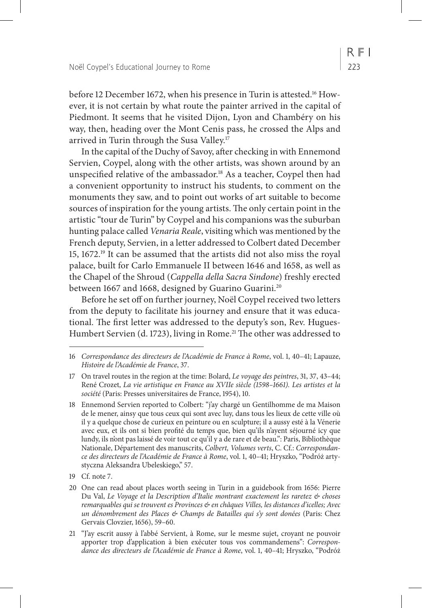before 12 December 1672, when his presence in Turin is attested.<sup>16</sup> However, it is not certain by what route the painter arrived in the capital of Piedmont. It seems that he visited Dijon, Lyon and Chambéry on his way, then, heading over the Mont Cenis pass, he crossed the Alps and arrived in Turin through the Susa Valley.<sup>17</sup>

In the capital of the Duchy of Savoy, after checking in with Ennemond Servien, Coypel, along with the other artists, was shown around by an unspecified relative of the ambassador.<sup>18</sup> As a teacher, Coypel then had a convenient opportunity to instruct his students, to comment on the monuments they saw, and to point out works of art suitable to become sources of inspiration for the young artists. The only certain point in the artistic "tour de Turin" by Coypel and his companions was the suburban hunting palace called *Venaria Reale*, visiting which was mentioned by the French deputy, Servien, in a letter addressed to Colbert dated December 15, 1672.19 It can be assumed that the artists did not also miss the royal palace, built for Carlo Emmanuele II between 1646 and 1658, as well as the Chapel of the Shroud (*Cappella della Sacra Sindone*) freshly erected between 1667 and 1668, designed by Guarino Guarini.<sup>20</sup>

Before he set off on further journey, Noël Coypel received two letters from the deputy to facilitate his journey and ensure that it was educational. The first letter was addressed to the deputy's son, Rev. Hugues-Humbert Servien (d. 1723), living in Rome.<sup>21</sup> The other was addressed to

<sup>16</sup> *Correspondance des directeurs de l'Académie de France à Rome*, vol. 1, 40–41; Lapauze, *Histoire de l'Académie de France*, 37.

<sup>17</sup> On travel routes in the region at the time: Bolard, *Le voyage des peintres*, 31, 37, 43–44; René Crozet, *La vie artistique en France au XVIIe siècle (1598–1661). Les artistes et la société* (Paris: Presses universitaires de France, 1954), 10.

<sup>18</sup> Ennemond Servien reported to Colbert: "j'ay chargé un Gentilhomme de ma Maison de le mener, ainsy que tous ceux qui sont avec luy, dans tous les lieux de cette ville où il y a quelque chose de curieux en peinture ou en sculpture; il a aussy esté à la Vénerie avec eux, et ils ont si bien profité du temps que, bien qu'ils n'ayent séjourné icy que lundy, ils n'ont pas laissé de voir tout ce qu'il y a de rare et de beau.": Paris, Bibliothèque Nationale, Département des manuscrits, *Colbert, Volumes verts*, C. Cf.: *Correspondance des directeurs de l'Académie de France à Rome*, vol. 1, 40–41; Hryszko, "Podróż artystyczna Aleksandra Ubeleskiego," 57.

<sup>19</sup> Cf. note 7.

<sup>20</sup> One can read about places worth seeing in Turin in a guidebook from 1656: Pierre Du Val, *Le Voyage et la Description d'Italie montrant exactement les raretez & choses remarquables qui se trouvent es Provinces & en châques Villes, les distances d'icelles; Avec un dénombrement des Places & Champs de Batailles qui s'y sont donées* (Paris: Chez Gervais Clovzier, 1656), 59–60.

<sup>21</sup> "J'ay escrit aussy à l'abbé Servient, à Rome, sur le mesme sujet, croyant ne pouvoir apporter trop d'application à bien exécuter tous vos commandemens": *Correspondance des directeurs de l'Académie de France à Rome*, vol. 1, 40–41; Hryszko, "Podróż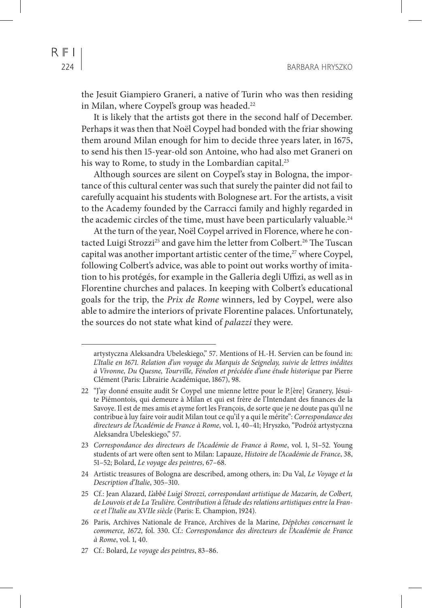the Jesuit Giampiero Graneri, a native of Turin who was then residing in Milan, where Coypel's group was headed.<sup>22</sup>

It is likely that the artists got there in the second half of December. Perhaps it was then that Noël Coypel had bonded with the friar showing them around Milan enough for him to decide three years later, in 1675, to send his then 15-year-old son Antoine, who had also met Graneri on his way to Rome, to study in the Lombardian capital.<sup>23</sup>

Although sources are silent on Coypel's stay in Bologna, the importance of this cultural center was such that surely the painter did not fail to carefully acquaint his students with Bolognese art. For the artists, a visit to the Academy founded by the Carracci family and highly regarded in the academic circles of the time, must have been particularly valuable.<sup>24</sup>

At the turn of the year, Noël Coypel arrived in Florence, where he contacted Luigi Strozzi<sup>25</sup> and gave him the letter from Colbert.<sup>26</sup> The Tuscan capital was another important artistic center of the time,<sup>27</sup> where Coypel, following Colbert's advice, was able to point out works worthy of imitation to his protégés, for example in the Galleria degli Uffizi, as well as in Florentine churches and palaces. In keeping with Colbert's educational goals for the trip, the *Prix de Rome* winners, led by Coypel, were also able to admire the interiors of private Florentine palaces. Unfortunately, the sources do not state what kind of *palazzi* they were.

- 24 Artistic treasures of Bologna are described, among others, in: Du Val, *Le Voyage et la Description d'Italie*, 305–310.
- 25 Cf.: Jean Alazard, *L'abbé Luigi Strozzi, correspondant artistique de Mazarin, de Colbert, de Louvois et de La Teulière. Contribution à l'étude des relations artistiques entre la France et l'Italie au XVIIe siècle* (Paris: E. Champion, 1924).
- 26 Paris, Archives Nationale de France, Archives de la Marine, *Dépêches concernant le commerce, 1672*, fol. 330. Cf.: *Correspondance des directeurs de l'Académie de France à Rome*, vol. 1, 40.

artystyczna Aleksandra Ubeleskiego," 57. Mentions of H.-H. Servien can be found in: *L'Italie en 1671. Relation d'un voyage du Marquis de Seignelay, suivie de lettres inédites à Vivonne, Du Quesne, Tourville, Fénelon et précédée d'une étude historique* par Pierre Clément (Paris: Librairie Académique, 1867), 98.

<sup>22</sup> "J'ay donné ensuite audit Sr Coypel une mienne lettre pour le P.[ère] Granery, Jésuite Piémontois, qui demeure à Milan et qui est frère de l'Intendant des finances de la Savoye. Il est de mes amis et ayme fort les François, de sorte que je ne doute pas qu'il ne contribue à luy faire voir audit Milan tout ce qu'il y a qui le mérite": *Correspondance des directeurs de l'Académie de France à Rome*, vol. 1, 40–41; Hryszko, "Podróż artystyczna Aleksandra Ubeleskiego," 57.

<sup>23</sup> *Correspondance des directeurs de l'Académie de France à Rome*, vol. 1, 51–52. Young students of art were often sent to Milan: Lapauze, *Histoire de l'Académie de France*, 38, 51–52; Bolard, *Le voyage des peintres*, 67–68.

<sup>27</sup> Cf.: Bolard, *Le voyage des peintres*, 83–86.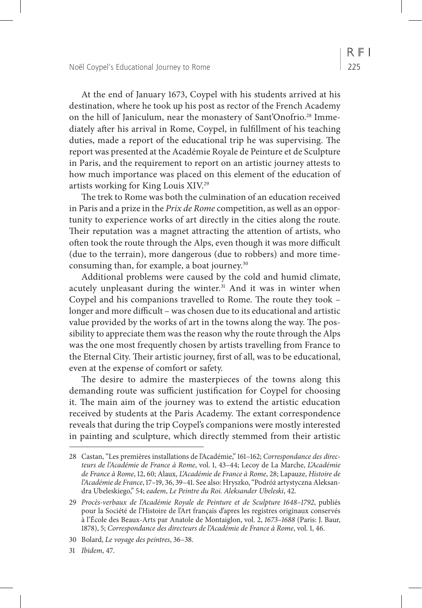At the end of January 1673, Coypel with his students arrived at his destination, where he took up his post as rector of the French Academy on the hill of Janiculum, near the monastery of Sant'Onofrio.28 Immediately after his arrival in Rome, Coypel, in fulfillment of his teaching duties, made a report of the educational trip he was supervising. The report was presented at the Académie Royale de Peinture et de Sculpture in Paris, and the requirement to report on an artistic journey attests to how much importance was placed on this element of the education of artists working for King Louis XIV.29

The trek to Rome was both the culmination of an education received in Paris and a prize in the *Prix de Rome* competition, as well as an opportunity to experience works of art directly in the cities along the route. Their reputation was a magnet attracting the attention of artists, who often took the route through the Alps, even though it was more difficult (due to the terrain), more dangerous (due to robbers) and more timeconsuming than, for example, a boat journey.<sup>30</sup>

Additional problems were caused by the cold and humid climate, acutely unpleasant during the winter.<sup>31</sup> And it was in winter when Coypel and his companions travelled to Rome. The route they took – longer and more difficult – was chosen due to its educational and artistic value provided by the works of art in the towns along the way. The possibility to appreciate them was the reason why the route through the Alps was the one most frequently chosen by artists travelling from France to the Eternal City. Their artistic journey, first of all, was to be educational, even at the expense of comfort or safety.

The desire to admire the masterpieces of the towns along this demanding route was sufficient justification for Coypel for choosing it. The main aim of the journey was to extend the artistic education received by students at the Paris Academy. The extant correspondence reveals that during the trip Coypel's companions were mostly interested in painting and sculpture, which directly stemmed from their artistic

31 *Ibidem*, 47.

<sup>28</sup> Castan, "Les premières installations de l'Académie," 161–162; *Correspondance des directeurs de l'Académie de France à Rome*, vol. 1, 43–44; Lecoy de La Marche, *L'Académie de France à Rome*, 12, 60; Alaux, *L'Académie de France à Rome*, 28; Lapauze, *Histoire de l'Académie de France*, 17–19, 36, 39–41. See also: Hryszko, "Podróż artystyczna Aleksandra Ubeleskiego," 54; *eadem*, *Le Peintre du Roi. Aleksander Ubeleski*, 42.

<sup>29</sup> *Procès-verbaux de l'Académie Royale de Peinture et de Sculpture 1648–1792*, publiés pour la Société de l'Histoire de l'Art français d'apres les registres originaux conservés à l'École des Beaux-Arts par Anatole de Montaiglon, vol. 2, *1673–1688* (Paris: J. Baur, 1878), 5; *Correspondance des directeurs de l'Académie de France à Rome*, vol. 1, 46.

<sup>30</sup> Bolard, *Le voyage des peintres*, 36–38.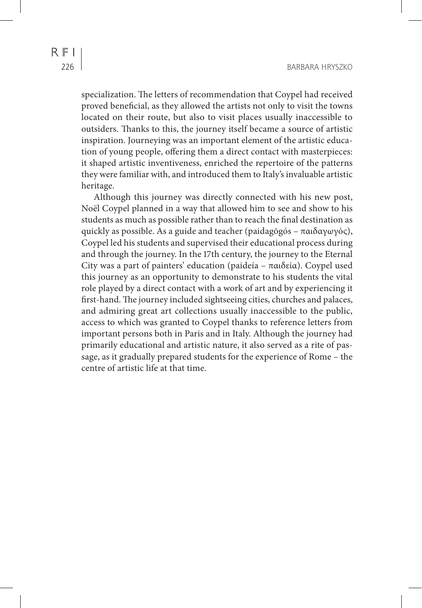specialization. The letters of recommendation that Coypel had received proved beneficial, as they allowed the artists not only to visit the towns located on their route, but also to visit places usually inaccessible to outsiders. Thanks to this, the journey itself became a source of artistic inspiration. Journeying was an important element of the artistic education of young people, offering them a direct contact with masterpieces: it shaped artistic inventiveness, enriched the repertoire of the patterns they were familiar with, and introduced them to Italy's invaluable artistic heritage.

Although this journey was directly connected with his new post, Noël Coypel planned in a way that allowed him to see and show to his students as much as possible rather than to reach the final destination as quickly as possible. As a guide and teacher (paidagōgós – παιδαγωγός), Coypel led his students and supervised their educational process during and through the journey. In the 17th century, the journey to the Eternal City was a part of painters' education (paideía – παιδεία). Coypel used this journey as an opportunity to demonstrate to his students the vital role played by a direct contact with a work of art and by experiencing it first-hand. The journey included sightseeing cities, churches and palaces, and admiring great art collections usually inaccessible to the public, access to which was granted to Coypel thanks to reference letters from important persons both in Paris and in Italy. Although the journey had primarily educational and artistic nature, it also served as a rite of passage, as it gradually prepared students for the experience of Rome – the centre of artistic life at that time.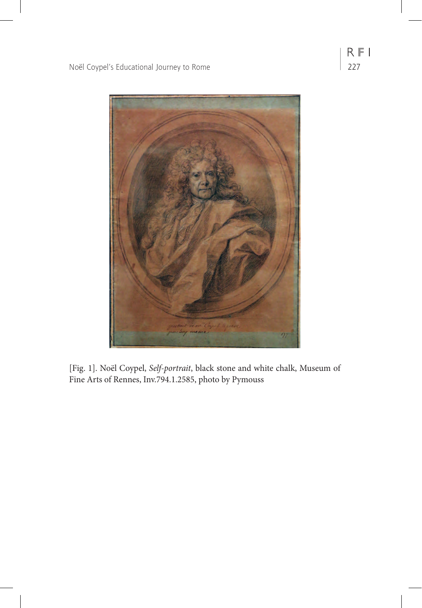

[Fig. 1]. Noël Coypel, *Self-portrait*, black stone and white chalk, Museum of Fine Arts of Rennes, Inv.794.1.2585, photo by Pymouss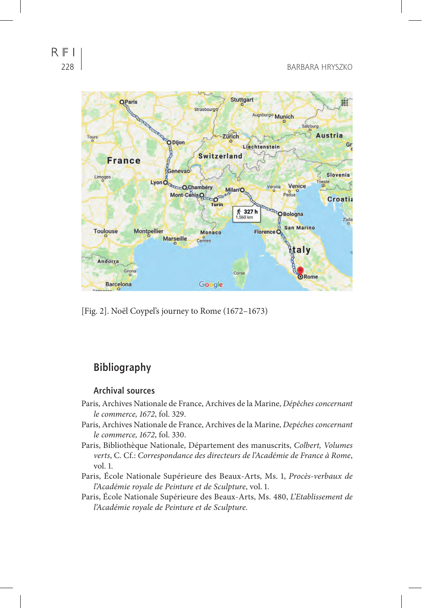

[Fig. 2]. Noël Coypel's journey to Rome (1672–1673)

# **Bibliography**

#### **Archival sources**

- Paris, Archives Nationale de France, Archives de la Marine, *Dépêches concernant le commerce, 1672*, fol. 329.
- Paris, Archives Nationale de France, Archives de la Marine, *Depéches concernant le commerce, 1672*, fol. 330.
- Paris, Bibliothèque Nationale, Département des manuscrits, *Colbert, Volumes verts*, C. Cf.: *Correspondance des directeurs de l'Académie de France à Rome*, vol. 1.
- Paris, École Nationale Supérieure des Beaux-Arts, Ms. 1, *Procès-verbaux de l'Académie royale de Peinture et de Sculpture*, vol. 1.
- Paris, École Nationale Supérieure des Beaux-Arts, Ms. 480, *L'Etablissement de l'Académie royale de Peinture et de Sculpture*.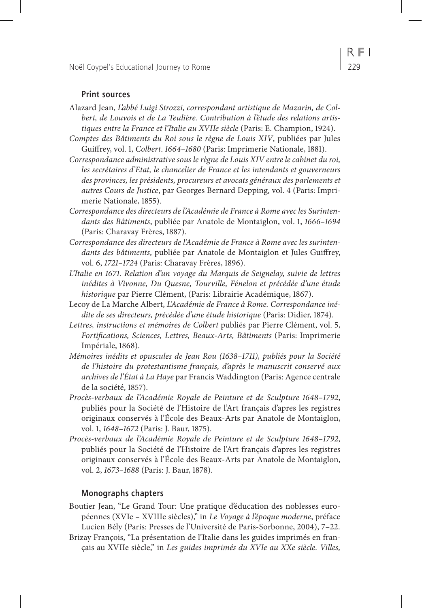#### **Print sources**

- Alazard Jean, *L'abbé Luigi Strozzi, correspondant artistique de Mazarin, de Colbert, de Louvois et de La Teulière. Contribution à l'étude des relations artistiques entre la France et l'Italie au XVIIe siècle* (Paris: E. Champion, 1924).
- *Comptes des Bâtiments du Roi sous le règne de Louis XIV*, publiées par Jules Guiffrey, vol. 1, *Colbert*. *1664–1680* (Paris: Imprimerie Nationale, 1881).
- *Correspondance administrative sous le règne de Louis XIV entre le cabinet du roi, les secrétaires d'Etat, le chancelier de France et les intendants et gouverneurs des provinces, les présidents, procureurs et avocats généraux des parlements et autres Cours de Justice*, par Georges Bernard Depping, vol. 4 (Paris: Imprimerie Nationale, 1855).
- *Correspondance des directeurs de l'Académie de France à Rome avec les Surintendants des Bâtiments*, publiée par Anatole de Montaiglon, vol. 1, *1666–1694* (Paris: Charavay Frères, 1887).
- *Correspondance des directeurs de l'Académie de France à Rome avec les surintendants des bâtiments*, publiée par Anatole de Montaiglon et Jules Guiffrey, vol. 6, *1721–1724* (Paris: Charavay Frères, 1896).
- *L'Italie en 1671. Relation d'un voyage du Marquis de Seignelay, suivie de lettres inédites à Vivonne, Du Quesne, Tourville, Fénelon et précédée d'une étude historique* par Pierre Clément, (Paris: Librairie Académique, 1867).
- Lecoy de La Marche Albert, *L'Académie de France à Rome. Correspondance inédite de ses directeurs, précédée d'une étude historique* (Paris: Didier, 1874).
- *Lettres, instructions et mémoires de Colbert* publiés par Pierre Clément, vol. 5, *Fortifications, Sciences, Lettres, Beaux-Arts, Bâtiments* (Paris: Imprimerie Impériale, 1868).
- *Mémoires inédits et opuscules de Jean Rou (1638–1711), publiés pour la Société de l'histoire du protestantisme français, d'après le manuscrit conservé aux archives de l'État à La Haye* par Francis Waddington (Paris: Agence centrale de la société, 1857).
- *Procès-verbaux de l'Académie Royale de Peinture et de Sculpture 1648–1792*, publiés pour la Société de l'Histoire de l'Art français d'apres les registres originaux conservés à l'École des Beaux-Arts par Anatole de Montaiglon, vol. 1, *1648–1672* (Paris: J. Baur, 1875).
- *Procès-verbaux de l'Académie Royale de Peinture et de Sculpture 1648–1792*, publiés pour la Société de l'Histoire de l'Art français d'apres les registres originaux conservés à l'École des Beaux-Arts par Anatole de Montaiglon, vol. 2, *1673–1688* (Paris: J. Baur, 1878).

#### **Monographs chapters**

- Boutier Jean, "Le Grand Tour: Une pratique d'éducation des noblesses européennes (XVIe – XVIIIe siècles)," in *Le Voyage à l'époque moderne*, préface Lucien Bély (Paris: Presses de l'Université de Paris-Sorbonne, 2004), 7–22.
- Brizay François, "La présentation de l'Italie dans les guides imprimés en français au XVIIe siècle," in *Les guides imprimés du XVIe au XXe siècle. Villes,*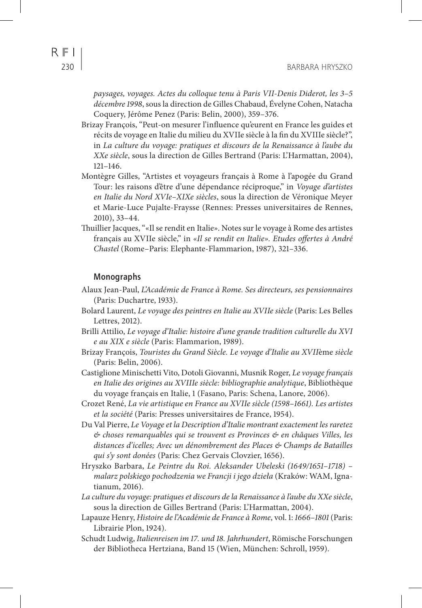$R$  F I

*paysages, voyages. Actes du colloque tenu à Paris VII-Denis Diderot, les 3–5 décembre 1998*, sous la direction de Gilles Chabaud, Évelyne Cohen, Natacha Coquery, Jérôme Penez (Paris: Belin, 2000), 359–376.

- Brizay François, "Peut-on mesurer l'influence qu'eurent en France les guides et récits de voyage en Italie du milieu du XVIIe siècle à la fin du XVIIIe siècle?", in *La culture du voyage: pratiques et discours de la Renaissance à l'aube du XXe siècle*, sous la direction de Gilles Bertrand (Paris: L'Harmattan, 2004), 121–146.
- Montègre Gilles, "Artistes et voyageurs français à Rome à l'apogée du Grand Tour: les raisons d'être d'une dépendance réciproque," in *Voyage d'artistes en Italie du Nord XVIe–XIXe siècles*, sous la direction de Véronique Meyer et Marie-Luce Pujalte-Fraysse (Rennes: Presses universitaires de Rennes, 2010), 33–44.
- Thuillier Jacques, "«Il se rendit en Italie». Notes sur le voyage à Rome des artistes français au XVIIe siècle," in *«Il se rendit en Italie». Etudes offertes à André Chastel* (Rome–Paris: Elephante-Flammarion, 1987), 321–336.

#### **Monographs**

- Alaux Jean-Paul, *L'Académie de France à Rome. Ses directeurs, ses pensionnaires* (Paris: Duchartre, 1933).
- Bolard Laurent, *Le voyage des peintres en Italie au XVIIe siècle* (Paris: Les Belles Lettres, 2012).
- Brilli Attilio, *Le voyage d'Italie: histoire d'une grande tradition culturelle du XVI e au XIX e siècle* (Paris: Flammarion, 1989).
- Brizay François, *Touristes du Grand Siècle. Le voyage d'Italie au XVII*ème *siècle* (Paris: Belin, 2006).
- Castiglione Minischetti Vito, Dotoli Giovanni, Musnik Roger, *Le voyage français en Italie des origines au XVIIIe siècle: bibliographie analytique*, Bibliothèque du voyage français en Italie, 1 (Fasano, Paris: Schena, Lanore, 2006).
- Crozet René, *La vie artistique en France au XVIIe siècle (1598–1661). Les artistes et la société* (Paris: Presses universitaires de France, 1954).
- Du Val Pierre, *Le Voyage et la Description d'Italie montrant exactement les raretez & choses remarquables qui se trouvent es Provinces & en châques Villes, les distances d'icelles; Avec un dénombrement des Places & Champs de Batailles qui s'y sont donées* (Paris: Chez Gervais Clovzier, 1656).
- Hryszko Barbara, *Le Peintre du Roi. Aleksander Ubeleski (1649/1651–1718) malarz polskiego pochodzenia we Francji i jego dzieła* (Kraków: WAM, Ignatianum, 2016).
- *La culture du voyage: pratiques et discours de la Renaissance à l'aube du XXe siècle*, sous la direction de Gilles Bertrand (Paris: L'Harmattan, 2004).
- Lapauze Henry, *Histoire de l'Académie de France à Rome*, vol. 1: *1666–1801* (Paris: Librairie Plon, 1924).
- Schudt Ludwig, *Italienreisen im 17. und 18. Jahrhundert*, Römische Forschungen der Bibliotheca Hertziana, Band 15 (Wien, München: Schroll, 1959).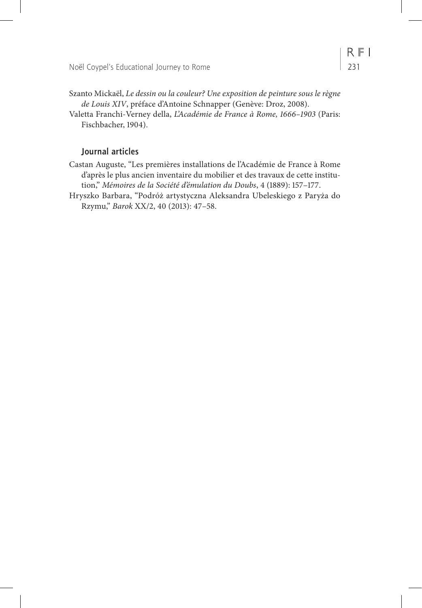- Szanto Mickaël, *Le dessin ou la couleur? Une exposition de peinture sous le règne de Louis XIV*, préface d'Antoine Schnapper (Genève: Droz, 2008).
- Valetta Franchi-Verney della, *L'Académie de France à Rome, 1666–1903* (Paris: Fischbacher, 1904).

#### **Journal articles**

- Castan Auguste, "Les premières installations de l'Académie de France à Rome d'après le plus ancien inventaire du mobilier et des travaux de cette institution," *Mémoires de la Société d'émulation du Doubs*, 4 (1889): 157–177.
- Hryszko Barbara, "Podróż artystyczna Aleksandra Ubeleskiego z Paryża do Rzymu," *Barok* XX/2, 40 (2013): 47–58.